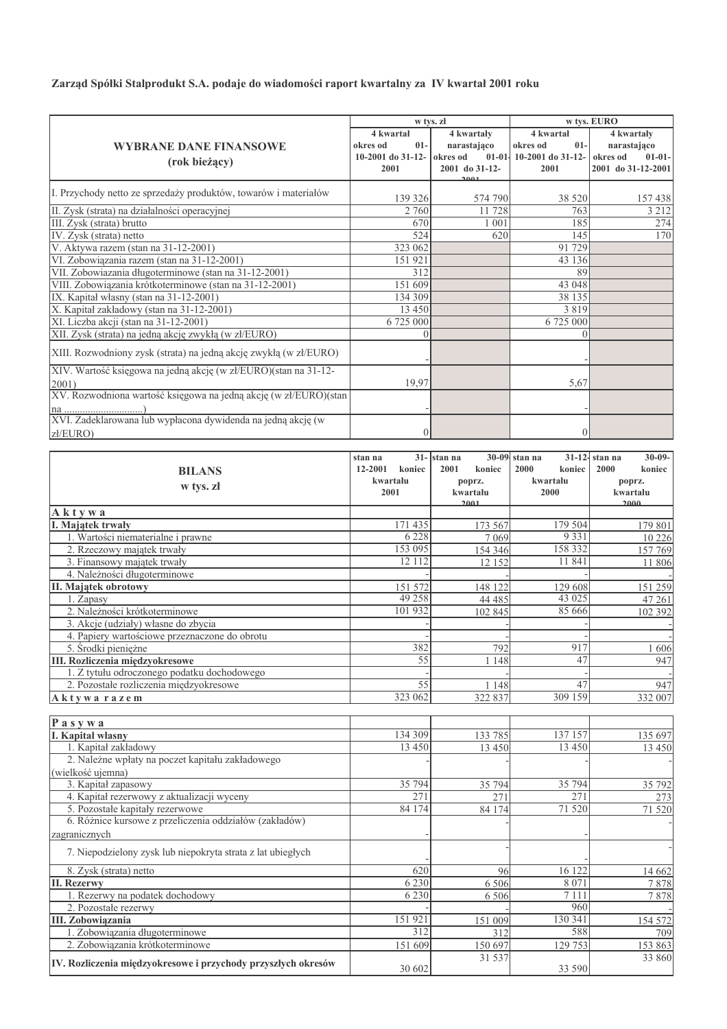Zarząd Spółki Stalprodukt S.A. podaje do wiadomości raport kwartalny za IV kwartał 2001 roku

|                                                                   | w tys. zł          |                |                                   | w tys. EURO                |  |
|-------------------------------------------------------------------|--------------------|----------------|-----------------------------------|----------------------------|--|
|                                                                   | 4 kwartał          | 4 kwartały     | 4 kwartał                         | 4 kwartały                 |  |
| <b>WYBRANE DANE FINANSOWE</b>                                     | okres od<br>$01 -$ | narastająco    | okres od<br>$01-$                 | narastająco                |  |
| (rok bieżący)                                                     | 10-2001 do 31-12-  | okres od       | 01-01- 10-2001 do 31-12- okres od | $01 - 01 -$                |  |
|                                                                   | 2001               | 2001 do 31-12- | 2001                              | 2001 do 31-12-2001         |  |
|                                                                   |                    | سممه           |                                   |                            |  |
| I. Przychody netto ze sprzedaży produktów, towarów i materiałów   | 139 326            | 574 790        | 38 5 20                           | 157438                     |  |
| II. Zysk (strata) na działalności operacyjnej                     | 2 760              | 11728          | 763                               | 3 2 1 2                    |  |
| III. Zysk (strata) brutto                                         | 670                | 1 0 0 1        | 185                               | 274                        |  |
| IV. Zysk (strata) netto                                           | 524                | 620            | 145                               | 170                        |  |
| V. Aktywa razem (stan na 31-12-2001)                              | 323 062            |                | 91 729                            |                            |  |
| VI. Zobowiązania razem (stan na 31-12-2001)                       | 151 921            |                | 43 136                            |                            |  |
| VII. Zobowiazania długoterminowe (stan na 31-12-2001)             | 312                |                | 89                                |                            |  |
| VIII. Zobowiązania krótkoterminowe (stan na 31-12-2001)           | 151609             |                | 43 048                            |                            |  |
| IX. Kapitał własny (stan na 31-12-2001)                           | 134 309            |                | 38 135                            |                            |  |
| X. Kapitał zakładowy (stan na 31-12-2001)                         | 13 4 5 0           |                | 3 8 1 9                           |                            |  |
| XI. Liczba akcji (stan na 31-12-2001)                             | 6725000            |                | 6 725 000                         |                            |  |
| XII. Zysk (strata) na jedną akcję zwykłą (w zł/EURO)              | $\Omega$           |                | $\Omega$                          |                            |  |
| XIII. Rozwodniony zysk (strata) na jedną akcję zwykłą (w zł/EURO) |                    |                |                                   |                            |  |
|                                                                   |                    |                |                                   |                            |  |
| XIV. Wartość księgowa na jedną akcję (w zł/EURO)(stan na 31-12-   |                    |                |                                   |                            |  |
| 2001)                                                             | 19,97              |                | 5,67                              |                            |  |
| XV. Rozwodniona wartość księgowa na jedną akcję (w zł/EURO)(stan  |                    |                |                                   |                            |  |
|                                                                   |                    |                |                                   |                            |  |
| XVI. Zadeklarowana lub wypłacona dywidenda na jedną akcję (w      |                    |                |                                   |                            |  |
| zł/EURO)                                                          | $\Omega$           |                | $\mathbf{0}$                      |                            |  |
|                                                                   |                    |                |                                   |                            |  |
|                                                                   | stan na            | 31- stan na    | 30-09 stan na                     | 31-12- stan na<br>$30-09-$ |  |
| <b>BILANS</b>                                                     | 12-2001<br>koniec  | 2001<br>koniec | 2000<br>koniec                    | 2000<br>koniec             |  |
| w tys. zł                                                         | kwartału           | poprz.         | kwartału                          | poprz.                     |  |
|                                                                   | 2001               | kwartału       | 2000                              | kwartału                   |  |
| Aktywa                                                            |                    | 2001           |                                   | 2000                       |  |
| I. Majątek trwały                                                 | 171 435            | 173 567        | 179 504                           | 179 801                    |  |
| 1. Wartości niematerialne i prawne                                | 6 2 2 8            | 7 0 6 9        | 9 3 3 1                           | 10 2 26                    |  |
| 2. Rzeczowy majątek trwały                                        | 153 095            | 154 346        | 158 332                           | 157769                     |  |
| 3. Finansowy majątek trwały                                       | 12 1 12            | 12 152         | 11 841                            | 11 806                     |  |
| 4. Należności długoterminowe                                      |                    |                |                                   |                            |  |
| II. Majatek obrotowy                                              | 151 572            | 148 122        | 129 608                           | 151 259                    |  |
| 1. Zapasy                                                         | 49 25 8            | 44 4 8 5       | 43 025                            | 47 261                     |  |
| 2. Należności krótkoterminowe                                     | 101932             | 102 845        | 85 666                            | 102 392                    |  |
| 3. Akcje (udziały) własne do zbycia                               |                    |                |                                   |                            |  |
| 4. Papiery wartościowe przeznaczone do obrotu                     |                    |                |                                   |                            |  |
| 5. Srodki pieniężne                                               | 382                | 792            | 917                               | 1606                       |  |
| III. Rozliczenia międzyokresowe                                   | 55                 | 1 1 4 8        | 47                                | 947                        |  |
| 1. Z tytułu odroczonego podatku dochodowego                       |                    |                |                                   |                            |  |
| 2. Pozostałe rozliczenia międzyokresowe                           | 55                 | 1 1 4 8        | 47                                | 947                        |  |
| Aktywarazem                                                       | 323 062            | 322 837        | 309 159                           | 332 007                    |  |
|                                                                   |                    |                |                                   |                            |  |
| Pasywa                                                            |                    |                |                                   |                            |  |
| <b>I. Kapital własny</b>                                          | 134 309            | 133 785        | 137 157                           | 135 697                    |  |
| 1. Kapitał zakładowy                                              | 13 450             | 13 450         | 13 4 50                           | 13 4 5 0                   |  |
| 2. Należne wpłaty na poczet kapitału zakładowego                  |                    |                |                                   |                            |  |
| (wielkość ujemna)                                                 |                    |                |                                   |                            |  |
| 3. Kapitał zapasowy                                               | 35 794             | 35 794         | 35 794                            | 35 792                     |  |
| 4. Kapitał rezerwowy z aktualizacji wyceny                        | 271                | 271            | 271                               | 273                        |  |
| 5. Pozostałe kapitały rezerwowe                                   | 84 174             | 84 174         | 71 520                            | 71 520                     |  |
| 6. Różnice kursowe z przeliczenia oddziałów (zakładów)            |                    |                |                                   |                            |  |
| zagranicznych                                                     |                    |                |                                   |                            |  |
| 7. Niepodzielony zysk lub niepokryta strata z lat ubiegłych       |                    |                |                                   |                            |  |
|                                                                   |                    |                |                                   |                            |  |
| 8. Zysk (strata) netto                                            | 620                | 96             | 16 122                            | 14 662                     |  |
| <b>II. Rezerwy</b>                                                | 6 2 3 0            | 6 5 0 6        | 8 0 7 1                           | 7878                       |  |
| 1. Rezerwy na podatek dochodowy                                   | 6 2 3 0            | 6 5 0 6        | 7 1 1 1                           | 7878                       |  |
| 2. Pozostałe rezerwy                                              |                    |                | 960                               |                            |  |
| III. Zobowiązania                                                 | 151 921            | 151 009        | 130 341                           | 154 572                    |  |
| 1. Zobowiązania długoterminowe                                    | 312                | 312            | 588                               | 709                        |  |
| 2. Zobowiązania krótkoterminowe                                   | 151 609            | 150 697        | 129 753                           | 153 863                    |  |
| IV. Rozliczenia międzyokresowe i przychody przyszłych okresów     | 30 602             | 31 537         | 33 590                            | 33 860                     |  |
|                                                                   |                    |                |                                   |                            |  |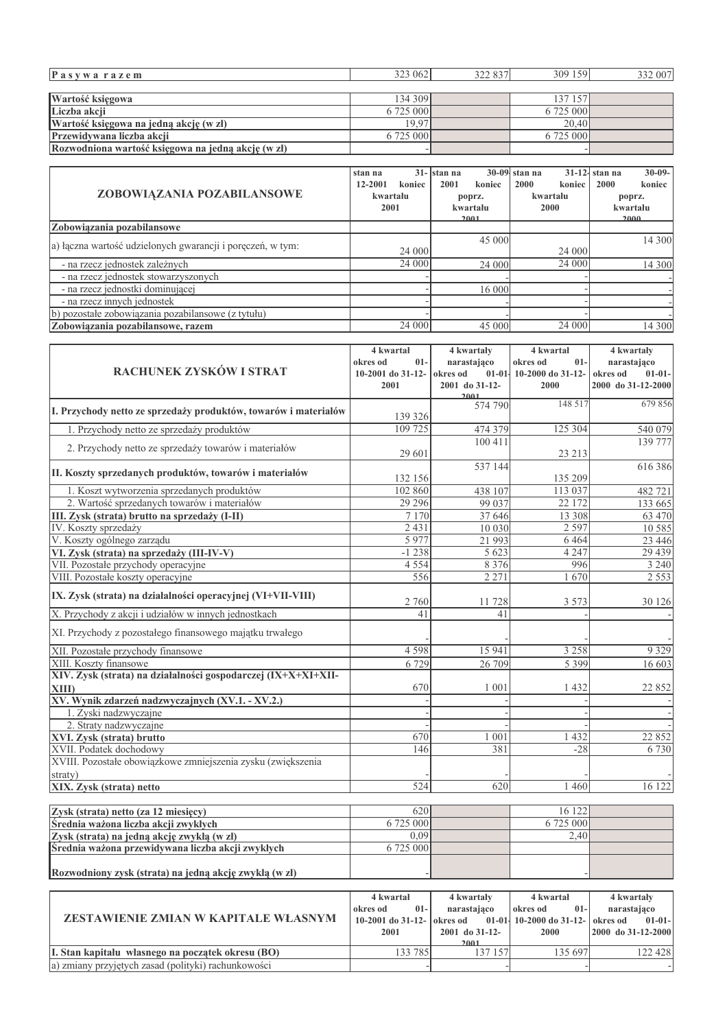| Pasywarazem                                                     | 323 062                   | 322 837                               | 309 159                          | 332 007                                       |
|-----------------------------------------------------------------|---------------------------|---------------------------------------|----------------------------------|-----------------------------------------------|
|                                                                 |                           |                                       |                                  |                                               |
| Wartość księgowa                                                | 134 309                   |                                       | 137 157                          |                                               |
| Liczba akcji                                                    | 6725000                   |                                       | 6 725 000                        |                                               |
| Wartość księgowa na jedną akcję (w zł)                          | 19,97                     |                                       | 20,40                            |                                               |
| Przewidywana liczba akcji                                       | 6 725 000                 |                                       | 6 725 000                        |                                               |
| Rozwodniona wartość księgowa na jedną akcję (w zł)              |                           |                                       |                                  |                                               |
|                                                                 |                           |                                       |                                  |                                               |
|                                                                 | $31 -$<br>stan na         | $30 - 09$<br>stan na                  | $31 - 12$<br>stan na             | $30 - 09 -$<br>stan na                        |
| ZOBOWIĄZANIA POZABILANSOWE                                      | 12-2001<br>koniec         | 2001<br>koniec                        | 2000<br>koniec                   | 2000<br>koniec                                |
|                                                                 | kwartału                  | poprz.                                | kwartału                         | poprz.<br>kwartału                            |
|                                                                 | 2001                      | kwartału<br>2001                      | 2000                             | 2000                                          |
| Zobowiązania pozabilansowe                                      |                           |                                       |                                  |                                               |
| a) łączna wartość udzielonych gwarancji i poręczeń, w tym:      |                           | 45 000                                |                                  | 14 300                                        |
|                                                                 | 24 000                    |                                       | 24 000                           |                                               |
| - na rzecz jednostek zależnych                                  | 24 000                    | 24 000                                | 24 000                           | 14 300                                        |
| - na rzecz jednostek stowarzyszonych                            |                           |                                       |                                  |                                               |
| - na rzecz jednostki dominującej                                |                           | 16 000                                |                                  |                                               |
| - na rzecz innych jednostek                                     |                           |                                       |                                  |                                               |
| b) pozostałe zobowiązania pozabilansowe (z tytułu)              |                           |                                       |                                  |                                               |
| Zobowiązania pozabilansowe, razem                               | 24 000                    | 45 000                                | 24 000                           | 14 300                                        |
|                                                                 |                           |                                       |                                  |                                               |
|                                                                 | 4 kwartał                 | 4 kwartały                            | 4 kwartał                        | 4 kwartały                                    |
| RACHUNEK ZYSKÓW I STRAT                                         | okres od<br>$01-$         | narastająco                           | okres od<br>$01-$                | narastająco                                   |
|                                                                 | 10-2001 do 31-12-<br>2001 | okres od<br>2001 do 31-12-            | 01-01- 10-2000 do 31-12-<br>2000 | okres od<br>$01 - 01 -$<br>2000 do 31-12-2000 |
|                                                                 |                           | 2001                                  |                                  |                                               |
| I. Przychody netto ze sprzedaży produktów, towarów i materiałów |                           | 574 790                               | 148 517                          | 679 856                                       |
|                                                                 | 139 326                   |                                       |                                  |                                               |
| 1. Przychody netto ze sprzedaży produktów                       | 109 725                   | 474 379                               | 125 304                          | 540 079                                       |
| 2. Przychody netto ze sprzedaży towarów i materiałów            |                           | 100 411                               |                                  | 139 777                                       |
|                                                                 | 29 601                    |                                       | 23 213                           |                                               |
| II. Koszty sprzedanych produktów, towarów i materiałów          |                           | 537 144                               |                                  | 616386                                        |
|                                                                 | 132 156                   |                                       | 135 209                          |                                               |
| 1. Koszt wytworzenia sprzedanych produktów                      | 102 860                   | 438 107                               | 113 037                          | 482721                                        |
| 2. Wartość sprzedanych towarów i materiałów                     | 29 29 6                   | 99 037                                | 22 172                           | 133 665                                       |
| III. Zysk (strata) brutto na sprzedaży (I-II)                   | 7 1 7 0                   | 37 646                                | 13 308                           | 63 470                                        |
| IV. Koszty sprzedaży                                            | 2 4 3 1                   | 10 030                                | 2 5 9 7                          | 10 5 8 5                                      |
| V. Koszty ogólnego zarządu                                      | 5977                      | 21 993                                | 6464                             | 23 4 4 6                                      |
| VI. Zysk (strata) na sprzedaży (III-IV-V)                       | $-1238$                   | 5 6 2 3                               | 4 2 4 7                          | 29 439                                        |
| VII. Pozostałe przychody operacyjne                             | 4 5 5 4                   | 8 3 7 6                               | 996                              | 3 2 4 0                                       |
| VIII. Pozostałe koszty operacyjne                               | 556                       | 2 2 7 1                               | 1670                             | 2 5 5 3                                       |
| IX. Zysk (strata) na działalności operacyjnej (VI+VII-VIII)     | 2 760                     | 11728                                 | 3 5 7 3                          | 30 126                                        |
| X. Przychody z akcji i udziałów w innych jednostkach            | 41                        | 41                                    |                                  |                                               |
|                                                                 |                           |                                       |                                  |                                               |
| XI. Przychody z pozostałego finansowego majątku trwałego        |                           |                                       |                                  |                                               |
| XII. Pozostałe przychody finansowe                              | 4598                      | 15 941                                | 3 2 5 8                          | 9 3 2 9                                       |
| XIII. Koszty finansowe                                          | 6729                      | 26 709                                | 5 3 9 9                          | 16 603                                        |
| XIV. Zysk (strata) na działalności gospodarczej (IX+X+XI+XII-   |                           |                                       |                                  |                                               |
| <b>XIII</b> )                                                   | 670                       | 1 0 0 1                               | 1 4 3 2                          | 22 852                                        |
| XV. Wynik zdarzeń nadzwyczajnych (XV.1. - XV.2.)                |                           |                                       |                                  |                                               |
| 1. Zyski nadzwyczajne                                           |                           |                                       |                                  |                                               |
| 2. Straty nadzwyczajne                                          |                           |                                       |                                  |                                               |
| XVI. Zysk (strata) brutto                                       | 670                       | 1 001                                 | 432                              | 22 852                                        |
| XVII. Podatek dochodowy                                         | 146                       | 381                                   | $-28$                            | 6730                                          |
| XVIII. Pozostałe obowiązkowe zmniejszenia zysku (zwiększenia    |                           |                                       |                                  |                                               |
| straty)                                                         |                           |                                       |                                  |                                               |
| XIX. Zysk (strata) netto                                        | 524                       | 620                                   | 1 4 6 0                          | 16 122                                        |
|                                                                 |                           |                                       |                                  |                                               |
| Zysk (strata) netto (za 12 miesięcy)                            | 620                       |                                       | 16 122                           |                                               |
| Średnia ważona liczba akcji zwykłych                            | 6 725 000                 |                                       | 6 725 000                        |                                               |
| Zysk (strata) na jedną akcję zwykłą (w zł)                      | 0,09                      |                                       | 2,40                             |                                               |
| Średnia ważona przewidywana liczba akcji zwykłych               | 6725000                   |                                       |                                  |                                               |
|                                                                 |                           |                                       |                                  |                                               |
| Rozwodniony zysk (strata) na jedną akcję zwykłą (w zł)          |                           |                                       |                                  |                                               |
|                                                                 |                           |                                       |                                  |                                               |
|                                                                 | 4 kwartał                 | 4 kwartały                            | 4 kwartał                        | 4 kwartały                                    |
| ZESTAWIENIE ZMIAN W KAPITALE WŁASNYM                            | $01-$<br>okres od         | narastająco                           | okres od<br>$01 -$               | narastająco                                   |
|                                                                 | 10-2001 do 31-12-<br>2001 | okres od<br>$01-01$<br>2001 do 31-12- | 10-2000 do 31-12-<br>2000        | okres od<br>$01 - 01 -$<br>2000 do 31-12-2000 |
|                                                                 |                           | 2001                                  |                                  |                                               |
| I. Stan kapitału własnego na początek okresu (BO)               | 133 785                   | 137 157                               | 135 697                          | 122 428                                       |
| a) zmiany przyjętych zasad (polityki) rachunkowości             |                           |                                       |                                  |                                               |
|                                                                 |                           |                                       |                                  |                                               |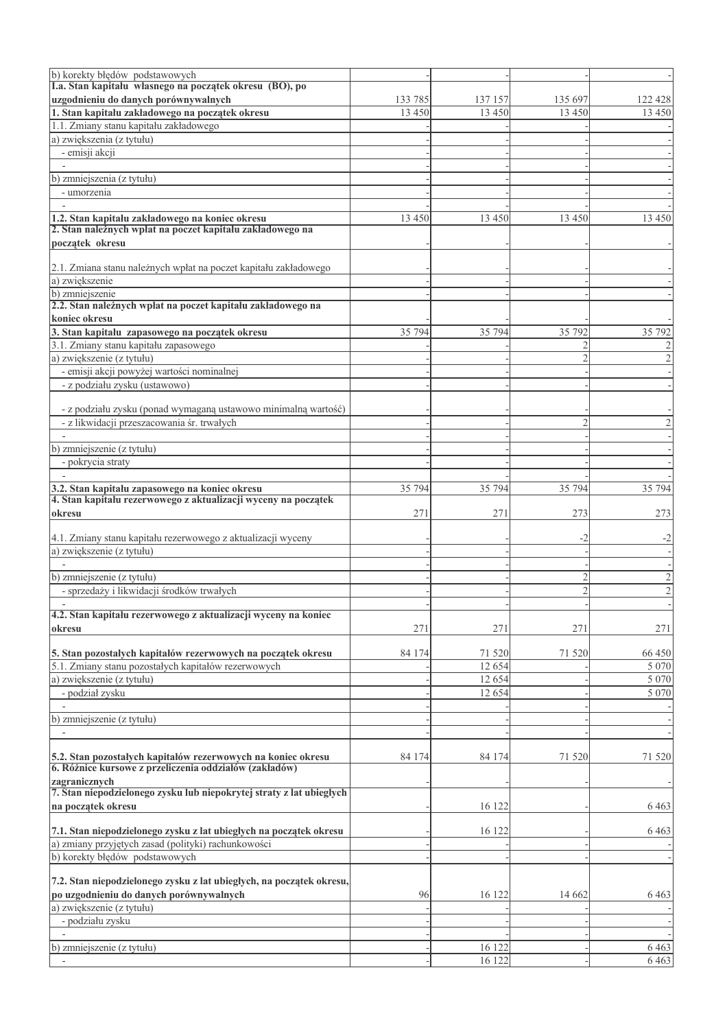| b) korekty błędów podstawowych<br>I.a. Stan kapitału własnego na początek okresu (BO), po                              |          |         |         |                     |
|------------------------------------------------------------------------------------------------------------------------|----------|---------|---------|---------------------|
| uzgodnieniu do danych porównywalnych                                                                                   | 133 785  | 137 157 | 135 697 | 122 428             |
| 1. Stan kapitału zakładowego na początek okresu                                                                        | 13 4 5 0 | 13 450  | 13 450  | 13 450              |
| 1.1. Zmiany stanu kapitału zakładowego                                                                                 |          |         |         |                     |
| a) zwiększenia (z tytułu)                                                                                              |          |         |         |                     |
| - emisji akcji                                                                                                         |          |         |         |                     |
|                                                                                                                        |          |         |         |                     |
| b) zmniejszenia (z tytułu)                                                                                             |          |         |         |                     |
| - umorzenia                                                                                                            |          |         |         |                     |
|                                                                                                                        |          |         |         |                     |
|                                                                                                                        | 13 450   | 13 450  | 13 450  | 13 450              |
| 1.2. Stan kapitału zakładowego na koniec okresu<br>2. Stan należnych wpłat na poczet kapitału zakładowego na           |          |         |         |                     |
| początek okresu                                                                                                        |          |         |         |                     |
|                                                                                                                        |          |         |         |                     |
| 2.1. Zmiana stanu należnych wpłat na poczet kapitału zakładowego                                                       |          |         |         |                     |
| a) zwiększenie                                                                                                         |          |         |         |                     |
| b) zmniejszenie<br>2.2. Stan należnych wpłat na poczet kapitału zakładowego na                                         |          |         |         |                     |
|                                                                                                                        |          |         |         |                     |
| koniec okresu                                                                                                          |          |         |         |                     |
| 3. Stan kapitału zapasowego na początek okresu                                                                         | 35 794   | 35 794  | 35 792  | 35 792              |
| 3.1. Zmiany stanu kapitału zapasowego                                                                                  |          |         |         | 2                   |
| a) zwiększenie (z tytułu)                                                                                              |          |         |         | 2                   |
| - emisji akcji powyżej wartości nominalnej                                                                             |          |         |         |                     |
| - z podziału zysku (ustawowo)                                                                                          |          |         |         |                     |
|                                                                                                                        |          |         |         |                     |
| - z podziału zysku (ponad wymaganą ustawowo minimalną wartość)                                                         |          |         |         |                     |
| - z likwidacji przeszacowania śr. trwałych                                                                             |          |         |         | 2                   |
|                                                                                                                        |          |         |         |                     |
| b) zmniejszenie (z tytułu)                                                                                             |          |         |         |                     |
| - pokrycia straty                                                                                                      |          |         |         |                     |
|                                                                                                                        |          |         |         |                     |
| 3.2. Stan kapitału zapasowego na koniec okresu                                                                         | 35 794   | 35 794  | 35 794  | 35 794              |
| 4. Stan kapitału rezerwowego z aktualizacji wyceny na początek                                                         |          |         |         |                     |
| okresu                                                                                                                 | 271      | 271     | 273     | 273                 |
|                                                                                                                        |          |         |         |                     |
| 4.1. Zmiany stanu kapitału rezerwowego z aktualizacji wyceny                                                           |          |         | -2      | $-2$                |
| a) zwiększenie (z tytułu)                                                                                              |          |         |         |                     |
| b) zmniejszenie (z tytułu)                                                                                             |          |         |         |                     |
| - sprzedaży i likwidacji środków trwałych                                                                              |          |         |         | 2<br>$\overline{c}$ |
|                                                                                                                        |          |         |         |                     |
| 4.2. Stan kapitału rezerwowego z aktualizacji wyceny na koniec                                                         |          |         |         |                     |
| okresu                                                                                                                 | 271      | 271     | 271     | 271                 |
|                                                                                                                        |          |         |         |                     |
| 5. Stan pozostałych kapitałów rezerwowych na początek okresu                                                           | 84 174   | 71 520  | 71 520  | 66 450              |
| 5.1. Zmiany stanu pozostałych kapitałów rezerwowych                                                                    |          | 12 654  |         | 5 0 7 0             |
| a) zwiększenie (z tytułu)                                                                                              |          | 12 654  |         | 5 0 7 0             |
| - podział zysku                                                                                                        |          | 12 654  |         | 5 0 7 0             |
|                                                                                                                        |          |         |         |                     |
| b) zmniejszenie (z tytułu)                                                                                             |          |         |         |                     |
|                                                                                                                        |          |         |         |                     |
|                                                                                                                        |          |         |         |                     |
|                                                                                                                        | 84 174   | 84 174  | 71 520  | 71 520              |
| 5.2. Stan pozostałych kapitałów rezerwowych na koniec okresu<br>6. Różnice kursowe z przeliczenia oddziałów (zakładów) |          |         |         |                     |
| zagranicznych                                                                                                          |          |         |         |                     |
| 7. Stan niepodzielonego zysku lub niepokrytej straty z lat ubiegłych                                                   |          |         |         |                     |
| na początek okresu                                                                                                     |          | 16 122  |         | 6 4 6 3             |
|                                                                                                                        |          |         |         |                     |
| 7.1. Stan niepodzielonego zysku z lat ubiegłych na początek okresu                                                     |          | 16 122  |         | 6 4 6 3             |
| a) zmiany przyjętych zasad (polityki) rachunkowości                                                                    |          |         |         |                     |
| b) korekty błędów podstawowych                                                                                         |          |         |         |                     |
|                                                                                                                        |          |         |         |                     |
| 7.2. Stan niepodzielonego zysku z lat ubiegłych, na początek okresu,                                                   |          |         |         |                     |
| po uzgodnieniu do danych porównywalnych                                                                                | 96       | 16 122  | 14 6 62 | 6463                |
| a) zwiększenie (z tytułu)                                                                                              |          |         |         |                     |
| - podziału zysku                                                                                                       |          |         |         |                     |
|                                                                                                                        |          |         |         |                     |
| b) zmniejszenie (z tytułu)                                                                                             |          | 16 122  |         | 6 4 6 3             |
|                                                                                                                        |          | 16 122  |         | 6463                |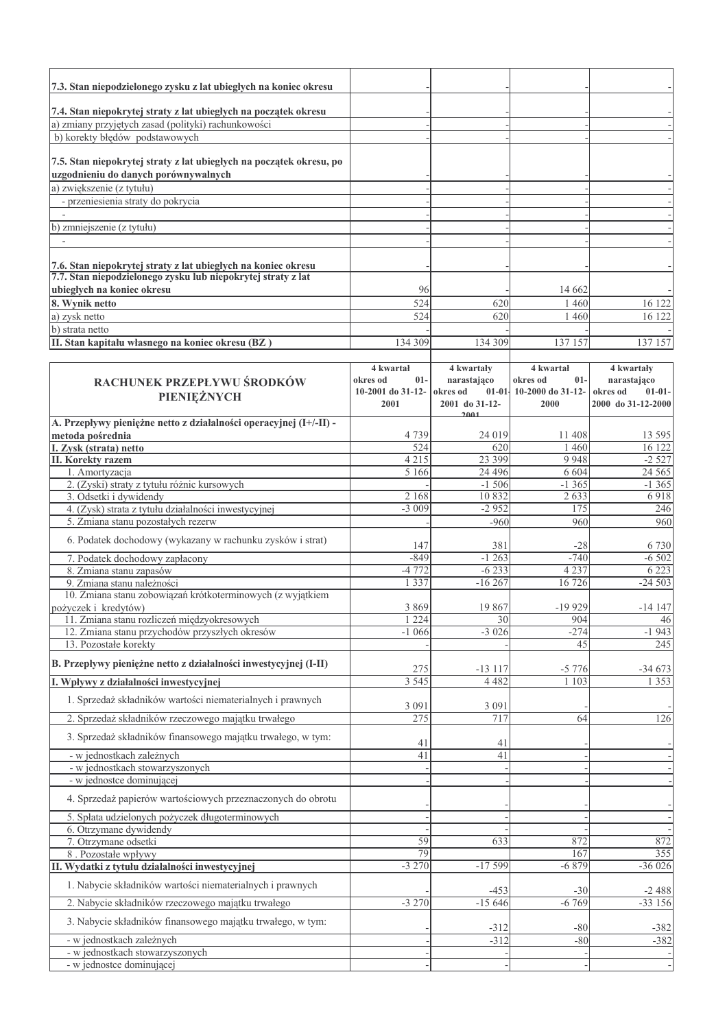| 7.3. Stan niepodzielonego zysku z lat ubiegłych na koniec okresu                                                              |                                |                           |                                 |                           |
|-------------------------------------------------------------------------------------------------------------------------------|--------------------------------|---------------------------|---------------------------------|---------------------------|
| 7.4. Stan niepokrytej straty z lat ubiegłych na początek okresu                                                               |                                |                           |                                 |                           |
| a) zmiany przyjętych zasad (polityki) rachunkowości                                                                           |                                |                           |                                 |                           |
| b) korekty błędów podstawowych                                                                                                |                                |                           |                                 |                           |
|                                                                                                                               |                                |                           |                                 |                           |
| 7.5. Stan niepokrytej straty z lat ubiegłych na początek okresu, po                                                           |                                |                           |                                 |                           |
| uzgodnieniu do danych porównywalnych<br>a) zwiększenie (z tytułu)                                                             |                                |                           |                                 |                           |
| - przeniesienia straty do pokrycia                                                                                            |                                |                           |                                 |                           |
|                                                                                                                               |                                |                           |                                 |                           |
| b) zmniejszenie (z tytułu)                                                                                                    |                                |                           |                                 |                           |
|                                                                                                                               |                                |                           |                                 |                           |
|                                                                                                                               |                                |                           |                                 |                           |
| 7.6. Stan niepokrytej straty z lat ubiegłych na koniec okresu<br>7.7. Stan niepodzielonego żysku lub niepokrytej straty z lat |                                |                           |                                 |                           |
| ubiegłych na koniec okresu                                                                                                    | 96                             |                           | 14 6 62                         |                           |
| 8. Wynik netto                                                                                                                | 524                            | 620                       | 1460                            | 16 122                    |
| a) zysk netto                                                                                                                 | 524                            | 620                       | 1460                            | 16 122                    |
| b) strata netto                                                                                                               |                                |                           |                                 |                           |
| II. Stan kapitału własnego na koniec okresu (BZ)                                                                              | 134 309                        | 134 309                   | 137 157                         | 137 157                   |
|                                                                                                                               |                                |                           |                                 |                           |
| RACHUNEK PRZEPŁYWU ŚRODKÓW                                                                                                    | 4 kwartał<br>okres od<br>$01-$ | 4 kwartały<br>narastająco | 4 kwartał<br>okres od<br>$01 -$ | 4 kwartały<br>narastająco |
|                                                                                                                               | 10-2001 do 31-12-              | okres od                  | 01-01-10-2000 do 31-12-         | okres od<br>$01 - 01 -$   |
| PIENIĘŻNYCH                                                                                                                   | 2001                           | 2001 do 31-12-            | 2000                            | 2000 do 31-12-2000        |
| A. Przepływy pieniężne netto z działalności operacyjnej (I+/-II) -                                                            |                                | 2001                      |                                 |                           |
| metoda pośrednia                                                                                                              | 4739                           | 24 019                    | 11 408                          | 13 5 95                   |
| I. Zysk (strata) netto                                                                                                        | 524                            | 620                       | 1 4 6 0                         | 16 122                    |
| <b>II. Korekty razem</b>                                                                                                      | 4 2 1 5                        | 23 399<br>24 4 9 6        | 9 9 4 8<br>6 6 0 4              | $-2527$                   |
| 1. Amortyzacja<br>2. (Zyski) straty z tytułu różnic kursowych                                                                 | 5 1 6 6                        | $-1,506$                  | $-1365$                         | 24 5 65<br>$-1365$        |
| 3. Odsetki i dywidendy                                                                                                        | 2 1 6 8                        | 10832                     | 2 6 3 3                         | 6918                      |
| 4. (Zysk) strata z tytułu działalności inwestycyjnej                                                                          | $-3009$                        | $-2952$                   | 175                             | 246                       |
| 5. Zmiana stanu pozostałych rezerw                                                                                            |                                | $-960$                    | 960                             | 960                       |
| 6. Podatek dochodowy (wykazany w rachunku zysków i strat)                                                                     | 147                            | 381                       | $-28$                           | 6 7 3 0                   |
| 7. Podatek dochodowy zapłacony                                                                                                | $-849$                         | $-1263$                   | $-740$                          | $-6502$                   |
| 8. Zmiana stanu zapasów                                                                                                       | $-4772$                        | $-6233$                   | 4 2 3 7                         | 6 2 2 3                   |
| 9. Zmiana stanu należności                                                                                                    | 1 3 3 7                        | $-16267$                  | 16 726                          | $-24503$                  |
| 10. Zmiana stanu zobowiązań krótkoterminowych (z wyjątkiem                                                                    |                                |                           |                                 |                           |
| pożyczek i kredytów)<br>11. Zmiana stanu rozliczeń międzyokresowych                                                           | 3869<br>224                    | 19 867<br>30              | $-19929$<br>904                 | $-14147$<br>46            |
| 12. Zmiana stanu przychodów przyszłych okresów                                                                                | $-1066$                        | $-3026$                   | $-274$                          | $-1943$                   |
| 13. Pozostałe korekty                                                                                                         |                                |                           | 45                              | 245                       |
| B. Przepływy pieniężne netto z działalności inwestycyjnej (I-II)                                                              |                                |                           |                                 |                           |
| I. Wpływy z działalności inwestycyjnej                                                                                        | 275<br>3 5 4 5                 | $-13117$<br>4 4 8 2       | $-5776$<br>1103                 | $-34673$<br>1 3 5 3       |
|                                                                                                                               |                                |                           |                                 |                           |
| 1. Sprzedaż składników wartości niematerialnych i prawnych                                                                    | 3 0 9 1                        | 3 0 9 1                   |                                 |                           |
| 2. Sprzedaż składników rzeczowego majątku trwałego                                                                            | 275                            | 717                       | 64                              | 126                       |
| 3. Sprzedaż składników finansowego majątku trwałego, w tym:                                                                   | 41                             | 41                        |                                 |                           |
| - w jednostkach zależnych                                                                                                     | 41                             | 41                        |                                 |                           |
| - w jednostkach stowarzyszonych                                                                                               |                                |                           |                                 |                           |
| - w jednostce dominującej                                                                                                     |                                |                           |                                 |                           |
| 4. Sprzedaż papierów wartościowych przeznaczonych do obrotu                                                                   |                                |                           |                                 |                           |
| 5. Spłata udzielonych pożyczek długoterminowych                                                                               |                                |                           |                                 |                           |
| 6. Otrzymane dywidendy                                                                                                        |                                |                           |                                 |                           |
| 7. Otrzymane odsetki<br>8. Pozostałe wpływy                                                                                   | 59<br>79                       | 633                       | 872<br>167                      | 872<br>355                |
| II. Wydatki z tytułu działalności inwestycyjnej                                                                               | $-3270$                        | $-17599$                  | $-6879$                         | $-36026$                  |
| 1. Nabycie składników wartości niematerialnych i prawnych                                                                     |                                |                           |                                 |                           |
| 2. Nabycie składników rzeczowego majątku trwałego                                                                             | $-3270$                        | $-453$<br>$-15646$        | $-30$<br>$-6769$                | $-2488$<br>$-33156$       |
| 3. Nabycie składników finansowego majątku trwałego, w tym:                                                                    |                                |                           |                                 |                           |
|                                                                                                                               |                                | $-312$                    | $-80$                           | $-382$                    |
| - w jednostkach zależnych<br>- w jednostkach stowarzyszonych                                                                  |                                | $-312$                    | $-80$                           | $-382$                    |
| - w jednostce dominującej                                                                                                     |                                |                           |                                 |                           |
|                                                                                                                               |                                |                           |                                 |                           |